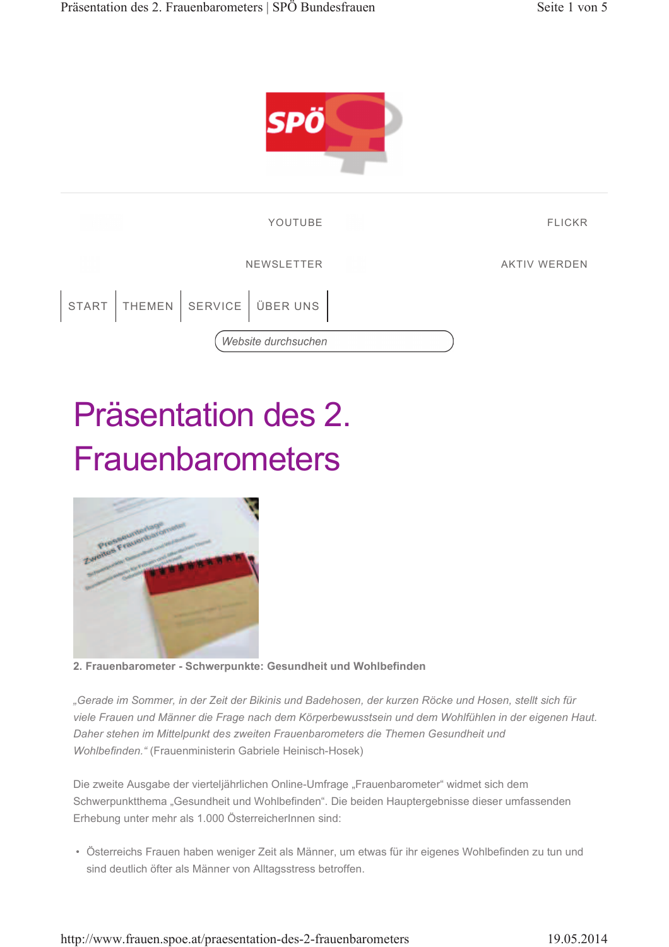



## Präsentation des 2. **Frauenbarometers**



2. Frauenbarometer - Schwerpunkte: Gesundheit und Wohlbefinden

"Gerade im Sommer, in der Zeit der Bikinis und Badehosen, der kurzen Röcke und Hosen, stellt sich für viele Frauen und Männer die Frage nach dem Körperbewusstsein und dem Wohlfühlen in der eigenen Haut. Daher stehen im Mittelpunkt des zweiten Frauenbarometers die Themen Gesundheit und Wohlbefinden." (Frauenministerin Gabriele Heinisch-Hosek)

Die zweite Ausgabe der vierteljährlichen Online-Umfrage "Frauenbarometer" widmet sich dem Schwerpunktthema "Gesundheit und Wohlbefinden". Die beiden Hauptergebnisse dieser umfassenden Erhebung unter mehr als 1.000 ÖsterreicherInnen sind:

· Österreichs Frauen haben weniger Zeit als Männer, um etwas für ihr eigenes Wohlbefinden zu tun und sind deutlich öfter als Männer von Alltagsstress betroffen.